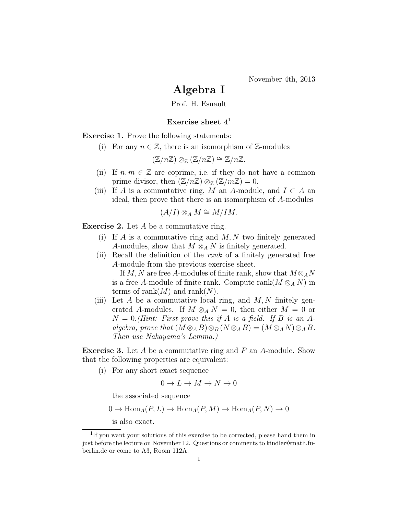November 4th, 2013

## Algebra I

Prof. H. Esnault

## Exercise sheet  $4<sup>1</sup>$

Exercise 1. Prove the following statements:

(i) For any  $n \in \mathbb{Z}$ , there is an isomorphism of  $\mathbb{Z}$ -modules

$$
(\mathbb{Z}/n\mathbb{Z}) \otimes_{\mathbb{Z}} (\mathbb{Z}/n\mathbb{Z}) \cong \mathbb{Z}/n\mathbb{Z}.
$$

- (ii) If  $n, m \in \mathbb{Z}$  are coprime, i.e. if they do not have a common prime divisor, then  $(\mathbb{Z}/n\mathbb{Z}) \otimes_{\mathbb{Z}} (\mathbb{Z}/m\mathbb{Z}) = 0$ .
- (iii) If A is a commutative ring, M an A-module, and  $I \subset A$  an ideal, then prove that there is an isomorphism of A-modules

$$
(A/I)\otimes_A M \cong M/IM.
$$

Exercise 2. Let A be a commutative ring.

- (i) If A is a commutative ring and  $M, N$  two finitely generated A-modules, show that  $M \otimes_A N$  is finitely generated.
- (ii) Recall the definition of the rank of a finitely generated free A-module from the previous exercise sheet. If M, N are free A-modules of finite rank, show that  $M \otimes_A N$ is a free A-module of finite rank. Compute rank( $M \otimes_A N$ ) in terms of rank $(M)$  and rank $(N)$ .
- (iii) Let A be a commutative local ring, and  $M, N$  finitely generated A-modules. If  $M \otimes_A N = 0$ , then either  $M = 0$  or  $N = 0$ . (Hint: First prove this if A is a field. If B is an Aalgebra, prove that  $(M \otimes_A B) \otimes_B (N \otimes_A B) = (M \otimes_A N) \otimes_A B$ . Then use Nakayama's Lemma.)

Exercise 3. Let A be a commutative ring and P an A-module. Show that the following properties are equivalent:

(i) For any short exact sequence

$$
0 \to L \to M \to N \to 0
$$

the associated sequence

$$
0 \to \text{Hom}_A(P, L) \to \text{Hom}_A(P, M) \to \text{Hom}_A(P, N) \to 0
$$

is also exact.

<sup>&</sup>lt;sup>1</sup>If you want your solutions of this exercise to be corrected, please hand them in just before the lecture on November 12. Questions or comments to kindler@math.fuberlin.de or come to A3, Room 112A.